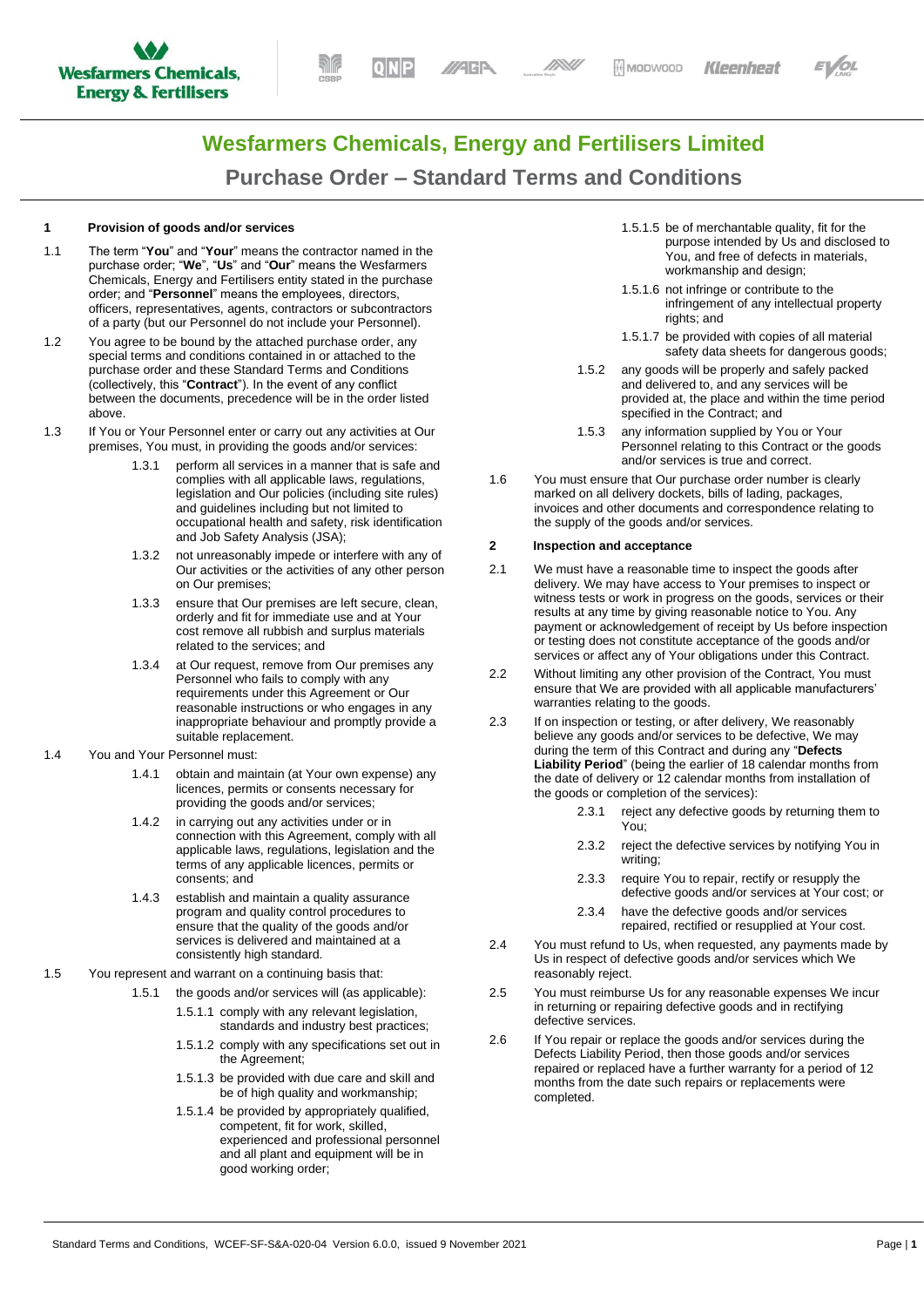



# **Wesfarmers Chemicals, Energy and Fertilisers Limited Purchase Order – Standard Terms and Conditions**

# **1 Provision of goods and/or services**

- 1.1 The term "**You**" and "**Your**" means the contractor named in the purchase order; "**We**", "**Us**" and "**Our**" means the Wesfarmers Chemicals, Energy and Fertilisers entity stated in the purchase order; and "**Personnel**" means the employees, directors, officers, representatives, agents, contractors or subcontractors of a party (but our Personnel do not include your Personnel).
- 1.2 You agree to be bound by the attached purchase order, any special terms and conditions contained in or attached to the purchase order and these Standard Terms and Conditions (collectively, this "**Contract**"). In the event of any conflict between the documents, precedence will be in the order listed above.
- 1.3 If You or Your Personnel enter or carry out any activities at Our premises, You must, in providing the goods and/or services:
	- perform all services in a manner that is safe and complies with all applicable laws, regulations, legislation and Our policies (including site rules) and guidelines including but not limited to occupational health and safety, risk identification and Job Safety Analysis (JSA);
	- 1.3.2 not unreasonably impede or interfere with any of Our activities or the activities of any other person on Our premises;
	- 1.3.3 ensure that Our premises are left secure, clean, orderly and fit for immediate use and at Your cost remove all rubbish and surplus materials related to the services; and
	- 1.3.4 at Our request, remove from Our premises any Personnel who fails to comply with any requirements under this Agreement or Our reasonable instructions or who engages in any inappropriate behaviour and promptly provide a suitable replacement.
- 1.4 You and Your Personnel must:
	- 1.4.1 obtain and maintain (at Your own expense) any licences, permits or consents necessary for providing the goods and/or services;
	- 1.4.2 in carrying out any activities under or in connection with this Agreement, comply with all applicable laws, regulations, legislation and the terms of any applicable licences, permits or consents; and
	- 1.4.3 establish and maintain a quality assurance program and quality control procedures to ensure that the quality of the goods and/or services is delivered and maintained at a consistently high standard.
- 1.5 You represent and warrant on a continuing basis that:
	- 1.5.1 the goods and/or services will (as applicable):
		- 1.5.1.1 comply with any relevant legislation, standards and industry best practices;
		- 1.5.1.2 comply with any specifications set out in the Agreement;
		- 1.5.1.3 be provided with due care and skill and be of high quality and workmanship;
		- 1.5.1.4 be provided by appropriately qualified, competent, fit for work, skilled, experienced and professional personnel and all plant and equipment will be in good working order;
- 1.5.1.5 be of merchantable quality, fit for the purpose intended by Us and disclosed to You, and free of defects in materials, workmanship and design:
- 1.5.1.6 not infringe or contribute to the infringement of any intellectual property rights; and
- 1.5.1.7 be provided with copies of all material safety data sheets for dangerous goods;
- <span id="page-0-1"></span>1.5.2 any goods will be properly and safely packed and delivered to, and any services will be provided at, the place and within the time period specified in the Contract; and
- 1.5.3 any information supplied by You or Your **Personnel relating to this Contract or the goods** and/or services is true and correct.
- 1.6 You must ensure that Our purchase order number is clearly marked on all delivery dockets, bills of lading, packages, invoices and other documents and correspondence relating to the supply of the goods and/or services.

## <span id="page-0-0"></span>**2 Inspection and acceptance**

- 2.1 We must have a reasonable time to inspect the goods after delivery. We may have access to Your premises to inspect or witness tests or work in progress on the goods, services or their results at any time by giving reasonable notice to You. Any payment or acknowledgement of receipt by Us before inspection or testing does not constitute acceptance of the goods and/or services or affect any of Your obligations under this Contract.
- 2.2 Without limiting any other provision of the Contract, You must ensure that We are provided with all applicable manufacturers' warranties relating to the goods.
- 2.3 If on inspection or testing, or after delivery, We reasonably believe any goods and/or services to be defective, We may during the term of this Contract and during any "**Defects Liability Period**" (being the earlier of 18 calendar months from the date of delivery or 12 calendar months from installation of the goods or completion of the services):
	- 2.3.1 reject any defective goods by returning them to You;
	- 2.3.2 reject the defective services by notifying You in writing;
	- 2.3.3 require You to repair, rectify or resupply the defective goods and/or services at Your cost; or
	- 2.3.4 have the defective goods and/or services repaired, rectified or resupplied at Your cost.
- 2.4 You must refund to Us, when requested, any payments made by Us in respect of defective goods and/or services which We reasonably reject.
- 2.5 You must reimburse Us for any reasonable expenses We incur in returning or repairing defective goods and in rectifying defective services.
- 2.6 If You repair or replace the goods and/or services during the Defects Liability Period, then those goods and/or services repaired or replaced have a further warranty for a period of 12 months from the date such repairs or replacements were completed.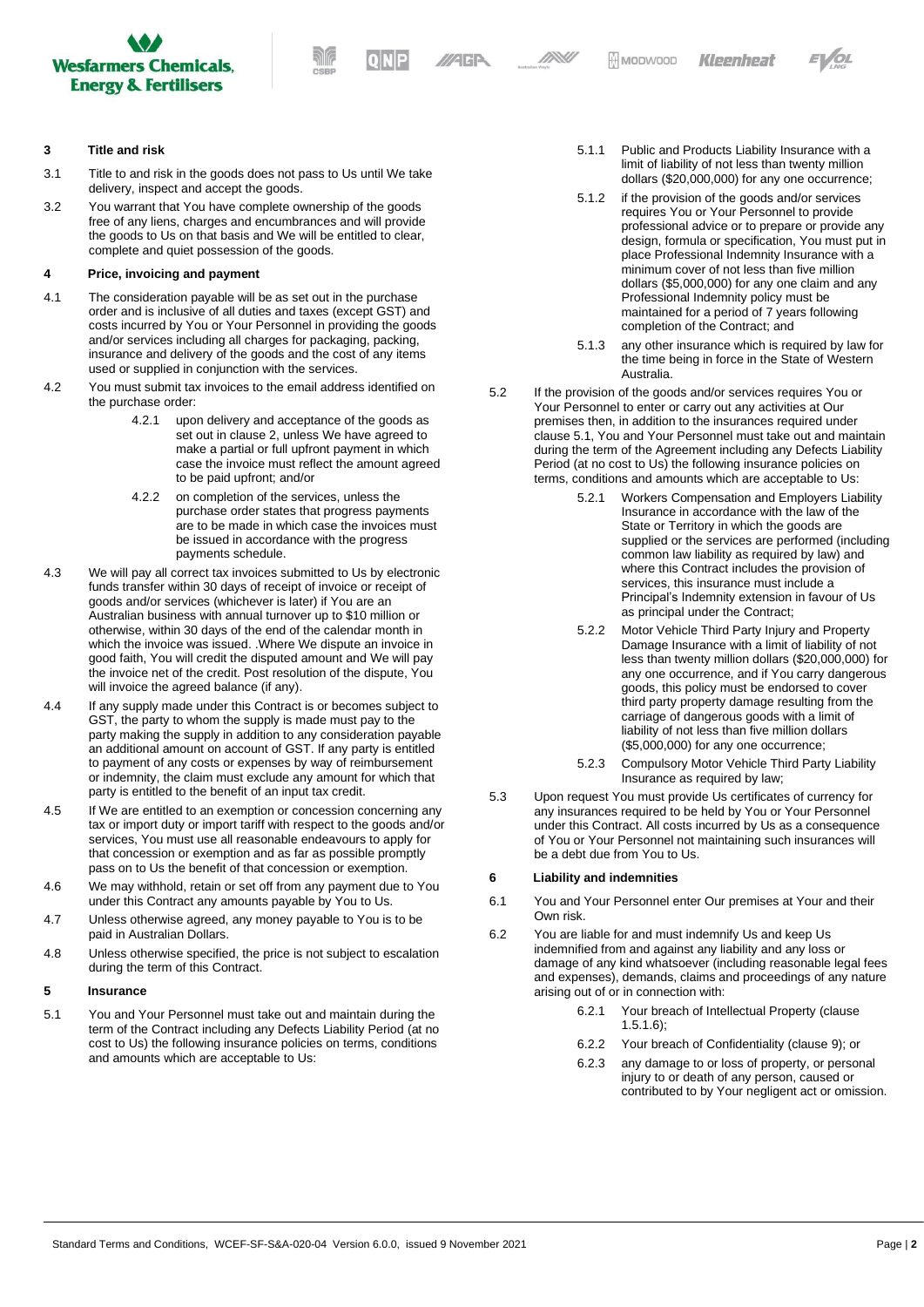

//AGP

**DNU** 

## **3 Title and risk**

- 3.1 Title to and risk in the goods does not pass to Us until We take delivery, inspect and accept the goods.
- 3.2 You warrant that You have complete ownership of the goods free of any liens, charges and encumbrances and will provide the goods to Us on that basis and We will be entitled to clear, complete and quiet possession of the goods.

#### **4 Price, invoicing and payment**

- 4.1 The consideration payable will be as set out in the purchase order and is inclusive of all duties and taxes (except GST) and costs incurred by You or Your Personnel in providing the goods and/or services including all charges for packaging, packing, insurance and delivery of the goods and the cost of any items used or supplied in conjunction with the services.
- 4.2 You must submit tax invoices to the email address identified on the purchase order:
	- 4.2.1 upon delivery and acceptance of the goods as set out in claus[e 2,](#page-0-0) unless We have agreed to make a partial or full upfront payment in which case the invoice must reflect the amount agreed to be paid upfront; and/or
	- 4.2.2 on completion of the services, unless the purchase order states that progress payments are to be made in which case the invoices must be issued in accordance with the progress payments schedule.
- 4.3 We will pay all correct tax invoices submitted to Us by electronic funds transfer within 30 days of receipt of invoice or receipt of goods and/or services (whichever is later) if You are an Australian business with annual turnover up to \$10 million or otherwise, within 30 days of the end of the calendar month in which the invoice was issued. .Where We dispute an invoice in good faith, You will credit the disputed amount and We will pay the invoice net of the credit. Post resolution of the dispute, You will invoice the agreed balance (if any).
- 4.4 If any supply made under this Contract is or becomes subject to GST, the party to whom the supply is made must pay to the party making the supply in addition to any consideration payable an additional amount on account of GST. If any party is entitled to payment of any costs or expenses by way of reimbursement or indemnity, the claim must exclude any amount for which that party is entitled to the benefit of an input tax credit.
- 4.5 If We are entitled to an exemption or concession concerning any tax or import duty or import tariff with respect to the goods and/or services, You must use all reasonable endeavours to apply for that concession or exemption and as far as possible promptly pass on to Us the benefit of that concession or exemption.
- 4.6 We may withhold, retain or set off from any payment due to You under this Contract any amounts payable by You to Us.
- 4.7 Unless otherwise agreed, any money payable to You is to be paid in Australian Dollars.
- 4.8 Unless otherwise specified, the price is not subject to escalation during the term of this Contract.

# **5 Insurance**

<span id="page-1-0"></span>5.1 You and Your Personnel must take out and maintain during the term of the Contract including any Defects Liability Period (at no cost to Us) the following insurance policies on terms, conditions and amounts which are acceptable to Us:

- 5.1.1 Public and Products Liability Insurance with a limit of liability of not less than twenty million dollars (\$20,000,000) for any one occurrence;
- 5.1.2 if the provision of the goods and/or services requires You or Your Personnel to provide professional advice or to prepare or provide any design, formula or specification, You must put in place Professional Indemnity Insurance with a minimum cover of not less than five million dollars (\$5,000,000) for any one claim and any Professional Indemnity policy must be maintained for a period of 7 years following completion of the Contract; and
- 5.1.3 any other insurance which is required by law for the time being in force in the State of Western Australia.
- 5.2 If the provision of the goods and/or services requires You or Your Personnel to enter or carry out any activities at Our premises then, in addition to the insurances required under clause [5.1,](#page-1-0) You and Your Personnel must take out and maintain during the term of the Agreement including any Defects Liability Period (at no cost to Us) the following insurance policies on terms, conditions and amounts which are acceptable to Us:
	- 5.2.1 Workers Compensation and Employers Liability Insurance in accordance with the law of the State or Territory in which the goods are supplied or the services are performed (including common law liability as required by law) and where this Contract includes the provision of services, this insurance must include a Principal's Indemnity extension in favour of Us as principal under the Contract;
	- 5.2.2 Motor Vehicle Third Party Injury and Property Damage Insurance with a limit of liability of not less than twenty million dollars (\$20,000,000) for any one occurrence, and if You carry dangerous goods, this policy must be endorsed to cover third party property damage resulting from the carriage of dangerous goods with a limit of liability of not less than five million dollars (\$5,000,000) for any one occurrence;
	- 5.2.3 Compulsory Motor Vehicle Third Party Liability Insurance as required by law;
- 5.3 Upon request You must provide Us certificates of currency for any insurances required to be held by You or Your Personnel under this Contract. All costs incurred by Us as a consequence of You or Your Personnel not maintaining such insurances will be a debt due from You to Us.

#### **6 Liability and indemnities**

- 6.1 You and Your Personnel enter Our premises at Your and their Own risk.
- 6.2 You are liable for and must indemnify Us and keep Us indemnified from and against any liability and any loss or damage of any kind whatsoever (including reasonable legal fees and expenses), demands, claims and proceedings of any nature arising out of or in connection with:
	- 6.2.1 Your breach of Intellectual Property (clause [1.5.1.6\)](#page-0-1);
	- 6.2.2 Your breach of Confidentiality (claus[e 9\)](#page-2-0); or
	- 6.2.3 any damage to or loss of property, or personal injury to or death of any person, caused or contributed to by Your negligent act or omission.